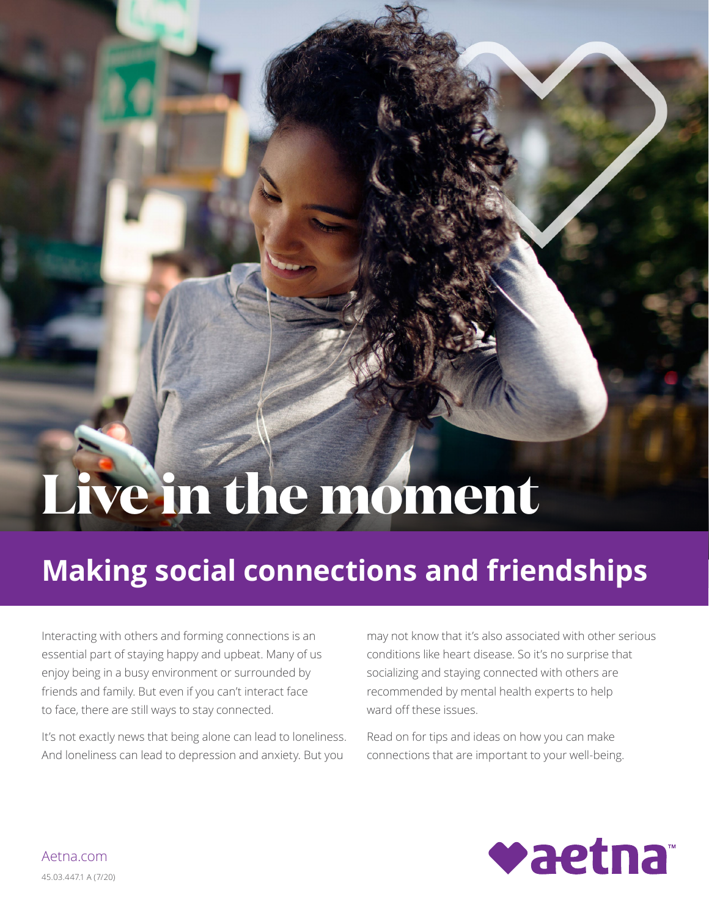# Live in the moment

## **Making social connections and friendships**

Interacting with others and forming connections is an essential part of staying happy and upbeat. Many of us enjoy being in a busy environment or surrounded by friends and family. But even if you can't interact face to face, there are still ways to stay connected.

It's not exactly news that being alone can lead to loneliness. And loneliness can lead to depression and anxiety. But you

may not know that it's also associated with other serious conditions like heart disease. So it's no surprise that socializing and staying connected with others are recommended by mental health experts to help ward off these issues.

Read on for tips and ideas on how you can make connections that are important to your well-being.